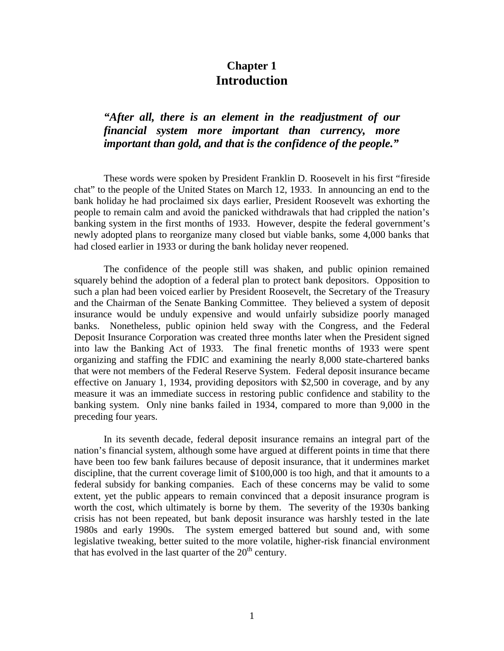## **Chapter 1 Introduction**

## *"After all, there is an element in the readjustment of our financial system more important than currency, more important than gold, and that is the confidence of the people."*

These words were spoken by President Franklin D. Roosevelt in his first "fireside chat" to the people of the United States on March 12, 1933. In announcing an end to the bank holiday he had proclaimed six days earlier, President Roosevelt was exhorting the people to remain calm and avoid the panicked withdrawals that had crippled the nation's banking system in the first months of 1933. However, despite the federal government's newly adopted plans to reorganize many closed but viable banks, some 4,000 banks that had closed earlier in 1933 or during the bank holiday never reopened.

The confidence of the people still was shaken, and public opinion remained squarely behind the adoption of a federal plan to protect bank depositors. Opposition to such a plan had been voiced earlier by President Roosevelt, the Secretary of the Treasury and the Chairman of the Senate Banking Committee. They believed a system of deposit insurance would be unduly expensive and would unfairly subsidize poorly managed banks. Nonetheless, public opinion held sway with the Congress, and the Federal Deposit Insurance Corporation was created three months later when the President signed into law the Banking Act of 1933. The final frenetic months of 1933 were spent organizing and staffing the FDIC and examining the nearly 8,000 state-chartered banks that were not members of the Federal Reserve System. Federal deposit insurance became effective on January 1, 1934, providing depositors with \$2,500 in coverage, and by any measure it was an immediate success in restoring public confidence and stability to the banking system. Only nine banks failed in 1934, compared to more than 9,000 in the preceding four years.

In its seventh decade, federal deposit insurance remains an integral part of the nation's financial system, although some have argued at different points in time that there have been too few bank failures because of deposit insurance, that it undermines market discipline, that the current coverage limit of \$100,000 is too high, and that it amounts to a federal subsidy for banking companies. Each of these concerns may be valid to some extent, yet the public appears to remain convinced that a deposit insurance program is worth the cost, which ultimately is borne by them. The severity of the 1930s banking crisis has not been repeated, but bank deposit insurance was harshly tested in the late 1980s and early 1990s. The system emerged battered but sound and, with some legislative tweaking, better suited to the more volatile, higher-risk financial environment that has evolved in the last quarter of the  $20<sup>th</sup>$  century.